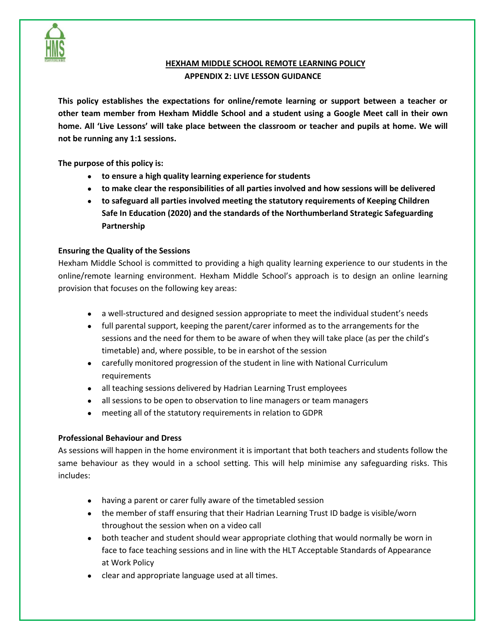

# **HEXHAM MIDDLE SCHOOL REMOTE LEARNING POLICY APPENDIX 2: LIVE LESSON GUIDANCE**

**This policy establishes the expectations for online/remote learning or support between a teacher or other team member from Hexham Middle School and a student using a Google Meet call in their own home. All 'Live Lessons' will take place between the classroom or teacher and pupils at home. We will not be running any 1:1 sessions.** 

**The purpose of this policy is:** 

- **to ensure a high quality learning experience for students**
- **to make clear the responsibilities of all parties involved and how sessions will be delivered**
- **to safeguard all parties involved meeting the statutory requirements of Keeping Children Safe In Education (2020) and the standards of the Northumberland Strategic Safeguarding Partnership**

# **Ensuring the Quality of the Sessions**

Hexham Middle School is committed to providing a high quality learning experience to our students in the online/remote learning environment. Hexham Middle School's approach is to design an online learning provision that focuses on the following key areas:

- a well-structured and designed session appropriate to meet the individual student's needs
- full parental support, keeping the parent/carer informed as to the arrangements for the sessions and the need for them to be aware of when they will take place (as per the child's timetable) and, where possible, to be in earshot of the session
- carefully monitored progression of the student in line with National Curriculum requirements
- all teaching sessions delivered by Hadrian Learning Trust employees
- all sessions to be open to observation to line managers or team managers
- meeting all of the statutory requirements in relation to GDPR

### **Professional Behaviour and Dress**

As sessions will happen in the home environment it is important that both teachers and students follow the same behaviour as they would in a school setting. This will help minimise any safeguarding risks. This includes:

- having a parent or carer fully aware of the timetabled session
- the member of staff ensuring that their Hadrian Learning Trust ID badge is visible/worn throughout the session when on a video call
- both teacher and student should wear appropriate clothing that would normally be worn in face to face teaching sessions and in line with the HLT Acceptable Standards of Appearance at Work Policy
- clear and appropriate language used at all times.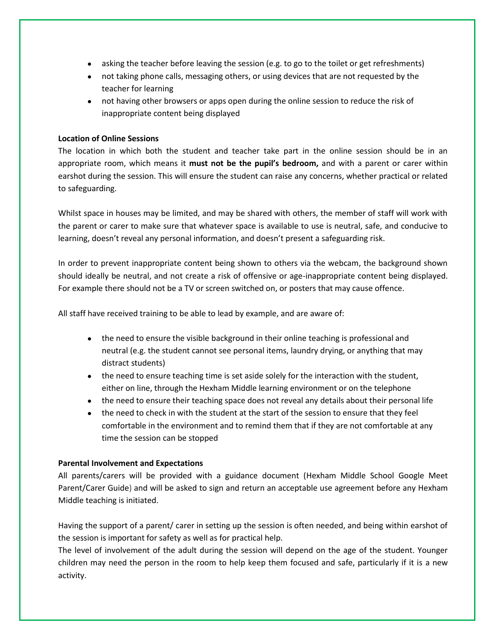- asking the teacher before leaving the session (e.g. to go to the toilet or get refreshments)
- not taking phone calls, messaging others, or using devices that are not requested by the teacher for learning
- not having other browsers or apps open during the online session to reduce the risk of inappropriate content being displayed

### **Location of Online Sessions**

The location in which both the student and teacher take part in the online session should be in an appropriate room, which means it **must not be the pupil's bedroom,** and with a parent or carer within earshot during the session. This will ensure the student can raise any concerns, whether practical or related to safeguarding.

Whilst space in houses may be limited, and may be shared with others, the member of staff will work with the parent or carer to make sure that whatever space is available to use is neutral, safe, and conducive to learning, doesn't reveal any personal information, and doesn't present a safeguarding risk.

In order to prevent inappropriate content being shown to others via the webcam, the background shown should ideally be neutral, and not create a risk of offensive or age-inappropriate content being displayed. For example there should not be a TV or screen switched on, or posters that may cause offence.

All staff have received training to be able to lead by example, and are aware of:

- the need to ensure the visible background in their online teaching is professional and neutral (e.g. the student cannot see personal items, laundry drying, or anything that may distract students)
- the need to ensure teaching time is set aside solely for the interaction with the student, either on line, through the Hexham Middle learning environment or on the telephone
- the need to ensure their teaching space does not reveal any details about their personal life
- the need to check in with the student at the start of the session to ensure that they feel comfortable in the environment and to remind them that if they are not comfortable at any time the session can be stopped

### **Parental Involvement and Expectations**

All parents/carers will be provided with a guidance document (Hexham Middle School Google Meet Parent/Carer Guide) and will be asked to sign and return an acceptable use agreement before any Hexham Middle teaching is initiated.

Having the support of a parent/ carer in setting up the session is often needed, and being within earshot of the session is important for safety as well as for practical help.

The level of involvement of the adult during the session will depend on the age of the student. Younger children may need the person in the room to help keep them focused and safe, particularly if it is a new activity.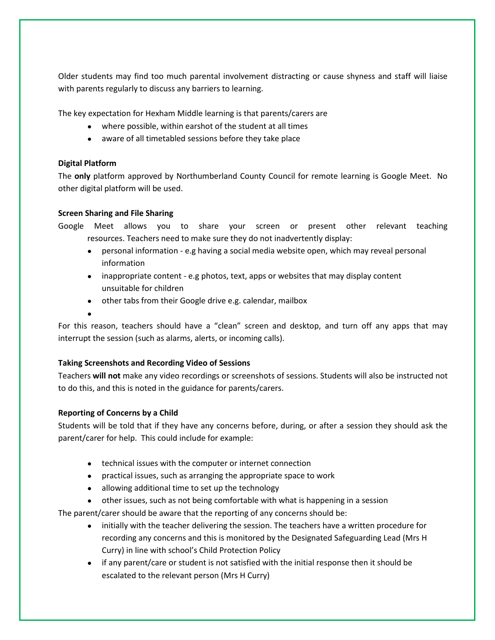Older students may find too much parental involvement distracting or cause shyness and staff will liaise with parents regularly to discuss any barriers to learning.

The key expectation for Hexham Middle learning is that parents/carers are

- where possible, within earshot of the student at all times
- aware of all timetabled sessions before they take place

### **Digital Platform**

The **only** platform approved by Northumberland County Council for remote learning is Google Meet. No other digital platform will be used.

### **Screen Sharing and File Sharing**

Google Meet allows you to share your screen or present other relevant teaching resources. Teachers need to make sure they do not inadvertently display:

- personal information e.g having a social media website open, which may reveal personal information
- inappropriate content e.g photos, text, apps or websites that may display content unsuitable for children
- other tabs from their Google drive e.g. calendar, mailbox
- ●

For this reason, teachers should have a "clean" screen and desktop, and turn off any apps that may interrupt the session (such as alarms, alerts, or incoming calls).

### **Taking Screenshots and Recording Video of Sessions**

Teachers **will not** make any video recordings or screenshots of sessions. Students will also be instructed not to do this, and this is noted in the guidance for parents/carers.

# **Reporting of Concerns by a Child**

Students will be told that if they have any concerns before, during, or after a session they should ask the parent/carer for help. This could include for example:

- technical issues with the computer or internet connection
- practical issues, such as arranging the appropriate space to work
- allowing additional time to set up the technology
- other issues, such as not being comfortable with what is happening in a session

The parent/carer should be aware that the reporting of any concerns should be:

- initially with the teacher delivering the session. The teachers have a written procedure for recording any concerns and this is monitored by the Designated Safeguarding Lead (Mrs H Curry) in line with school's Child Protection Policy
- if any parent/care or student is not satisfied with the initial response then it should be escalated to the relevant person (Mrs H Curry)